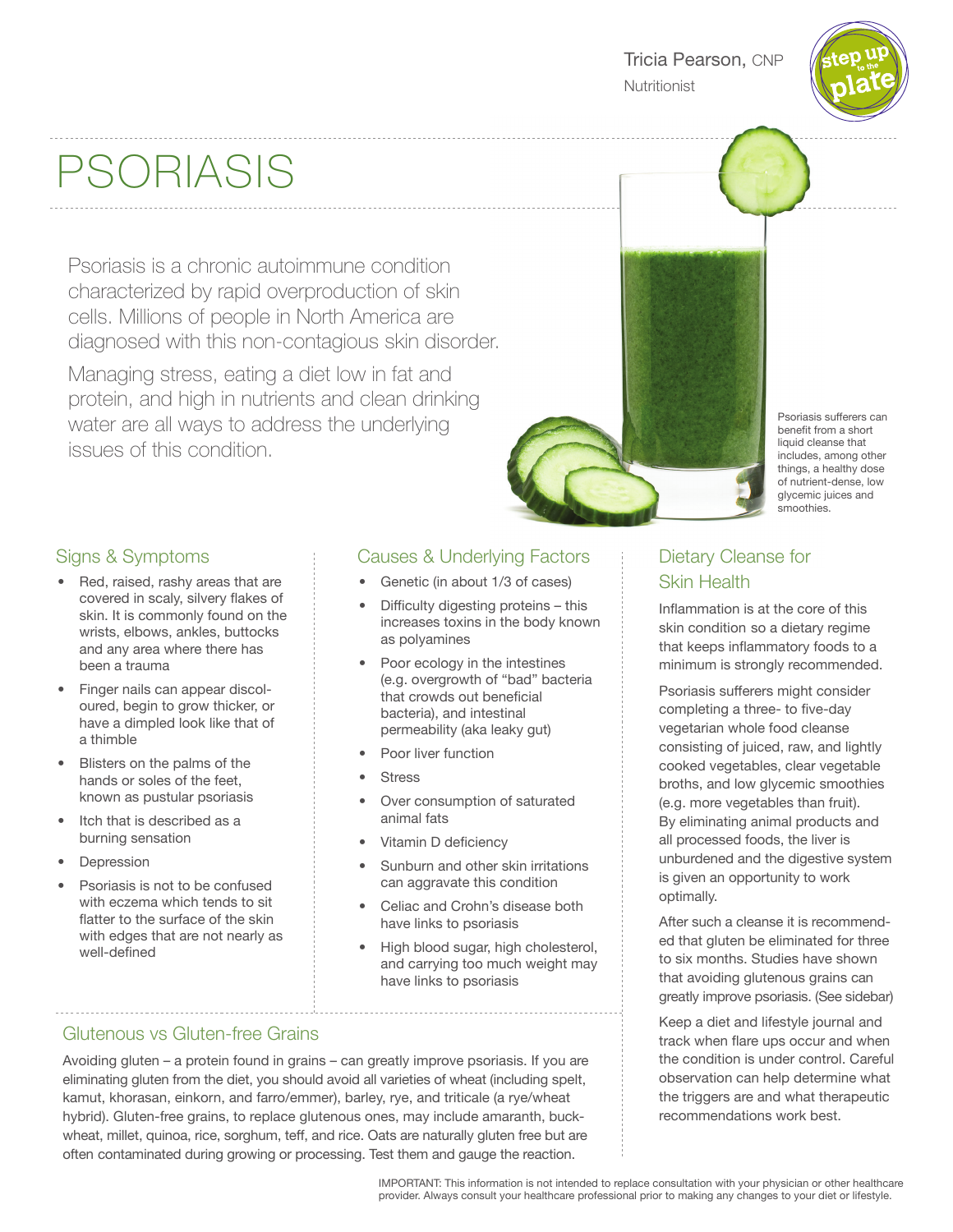

# PSORIASIS

Psoriasis is a chronic autoimmune condition characterized by rapid overproduction of skin cells. Millions of people in North America are diagnosed with this non-contagious skin disorder.

Managing stress, eating a diet low in fat and protein, and high in nutrients and clean drinking water are all ways to address the underlying issues of this condition.

# Signs & Symptoms

- Red, raised, rashy areas that are covered in scaly, silvery flakes of skin. It is commonly found on the wrists, elbows, ankles, buttocks and any area where there has been a trauma
- Finger nails can appear discoloured, begin to grow thicker, or have a dimpled look like that of a thimble
- Blisters on the palms of the hands or soles of the feet, known as pustular psoriasis
- Itch that is described as a burning sensation
- **Depression**
- Psoriasis is not to be confused with eczema which tends to sit flatter to the surface of the skin with edges that are not nearly as well-defined

# Causes & Underlying Factors

- Genetic (in about 1/3 of cases)
- Difficulty digesting proteins this increases toxins in the body known as polyamines
- Poor ecology in the intestines (e.g. overgrowth of "bad" bacteria that crowds out beneficial bacteria), and intestinal permeability (aka leaky gut)
- Poor liver function
- **Stress**
- Over consumption of saturated animal fats
- Vitamin D deficiency
- Sunburn and other skin irritations can aggravate this condition
- Celiac and Crohn's disease both have links to psoriasis
- High blood sugar, high cholesterol, and carrying too much weight may have links to psoriasis

# Glutenous vs Gluten-free Grains

Avoiding gluten – a protein found in grains – can greatly improve psoriasis. If you are eliminating gluten from the diet, you should avoid all varieties of wheat (including spelt, kamut, khorasan, einkorn, and farro/emmer), barley, rye, and triticale (a rye/wheat hybrid). Gluten-free grains, to replace glutenous ones, may include amaranth, buckwheat, millet, quinoa, rice, sorghum, teff, and rice. Oats are naturally gluten free but are often contaminated during growing or processing. Test them and gauge the reaction.



Psoriasis sufferers can benefit from a short liquid cleanse that includes, among other things, a healthy dose of nutrient-dense, low glycemic juices and smoothies.

# Dietary Cleanse for Skin Health

Inflammation is at the core of this skin condition so a dietary regime that keeps inflammatory foods to a minimum is strongly recommended.

Psoriasis sufferers might consider completing a three- to five-day vegetarian whole food cleanse consisting of juiced, raw, and lightly cooked vegetables, clear vegetable broths, and low glycemic smoothies (e.g. more vegetables than fruit). By eliminating animal products and all processed foods, the liver is unburdened and the digestive system is given an opportunity to work optimally.

After such a cleanse it is recommended that gluten be eliminated for three to six months. Studies have shown that avoiding glutenous grains can greatly improve psoriasis. (See sidebar)

Keep a diet and lifestyle journal and track when flare ups occur and when the condition is under control. Careful observation can help determine what the triggers are and what therapeutic recommendations work best.